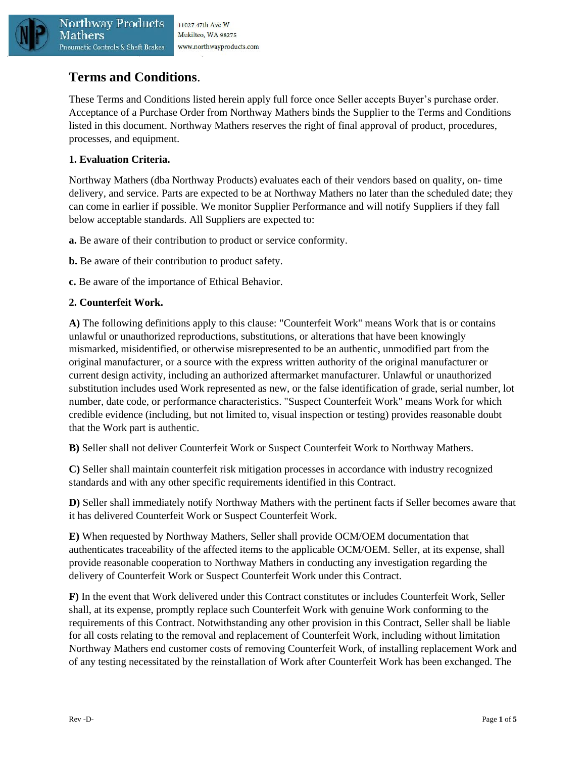

Mathers

# **Terms and Conditions**.

These Terms and Conditions listed herein apply full force once Seller accepts Buyer's purchase order. Acceptance of a Purchase Order from Northway Mathers binds the Supplier to the Terms and Conditions listed in this document. Northway Mathers reserves the right of final approval of product, procedures, processes, and equipment.

# **1. Evaluation Criteria.**

Northway Mathers (dba Northway Products) evaluates each of their vendors based on quality, on- time delivery, and service. Parts are expected to be at Northway Mathers no later than the scheduled date; they can come in earlier if possible. We monitor Supplier Performance and will notify Suppliers if they fall below acceptable standards. All Suppliers are expected to:

**a.** Be aware of their contribution to product or service conformity.

- **b.** Be aware of their contribution to product safety.
- **c.** Be aware of the importance of Ethical Behavior.

## **2. Counterfeit Work.**

**A)** The following definitions apply to this clause: "Counterfeit Work" means Work that is or contains unlawful or unauthorized reproductions, substitutions, or alterations that have been knowingly mismarked, misidentified, or otherwise misrepresented to be an authentic, unmodified part from the original manufacturer, or a source with the express written authority of the original manufacturer or current design activity, including an authorized aftermarket manufacturer. Unlawful or unauthorized substitution includes used Work represented as new, or the false identification of grade, serial number, lot number, date code, or performance characteristics. "Suspect Counterfeit Work" means Work for which credible evidence (including, but not limited to, visual inspection or testing) provides reasonable doubt that the Work part is authentic.

**B)** Seller shall not deliver Counterfeit Work or Suspect Counterfeit Work to Northway Mathers.

**C)** Seller shall maintain counterfeit risk mitigation processes in accordance with industry recognized standards and with any other specific requirements identified in this Contract.

**D)** Seller shall immediately notify Northway Mathers with the pertinent facts if Seller becomes aware that it has delivered Counterfeit Work or Suspect Counterfeit Work.

**E)** When requested by Northway Mathers, Seller shall provide OCM/OEM documentation that authenticates traceability of the affected items to the applicable OCM/OEM. Seller, at its expense, shall provide reasonable cooperation to Northway Mathers in conducting any investigation regarding the delivery of Counterfeit Work or Suspect Counterfeit Work under this Contract.

**F)** In the event that Work delivered under this Contract constitutes or includes Counterfeit Work, Seller shall, at its expense, promptly replace such Counterfeit Work with genuine Work conforming to the requirements of this Contract. Notwithstanding any other provision in this Contract, Seller shall be liable for all costs relating to the removal and replacement of Counterfeit Work, including without limitation Northway Mathers end customer costs of removing Counterfeit Work, of installing replacement Work and of any testing necessitated by the reinstallation of Work after Counterfeit Work has been exchanged. The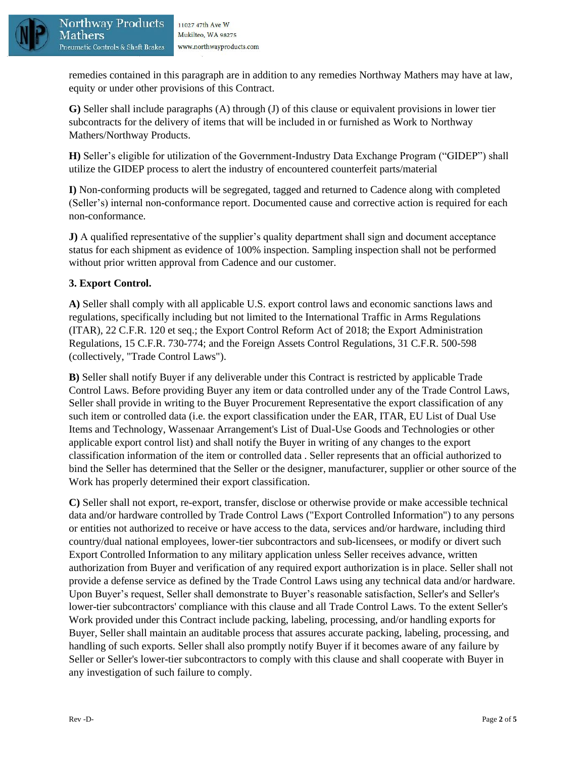

Mathers

remedies contained in this paragraph are in addition to any remedies Northway Mathers may have at law, equity or under other provisions of this Contract.

**G)** Seller shall include paragraphs (A) through (J) of this clause or equivalent provisions in lower tier subcontracts for the delivery of items that will be included in or furnished as Work to Northway Mathers/Northway Products.

**H)** Seller's eligible for utilization of the Government-Industry Data Exchange Program ("GIDEP") shall utilize the GIDEP process to alert the industry of encountered counterfeit parts/material

**I)** Non-conforming products will be segregated, tagged and returned to Cadence along with completed (Seller's) internal non-conformance report. Documented cause and corrective action is required for each non-conformance.

**J)** A qualified representative of the supplier's quality department shall sign and document acceptance status for each shipment as evidence of 100% inspection. Sampling inspection shall not be performed without prior written approval from Cadence and our customer.

# **3. Export Control.**

**A)** Seller shall comply with all applicable U.S. export control laws and economic sanctions laws and regulations, specifically including but not limited to the International Traffic in Arms Regulations (ITAR), 22 C.F.R. 120 et seq.; the Export Control Reform Act of 2018; the Export Administration Regulations, 15 C.F.R. 730-774; and the Foreign Assets Control Regulations, 31 C.F.R. 500-598 (collectively, "Trade Control Laws").

**B)** Seller shall notify Buyer if any deliverable under this Contract is restricted by applicable Trade Control Laws. Before providing Buyer any item or data controlled under any of the Trade Control Laws, Seller shall provide in writing to the Buyer Procurement Representative the export classification of any such item or controlled data (i.e. the export classification under the EAR, ITAR, EU List of Dual Use Items and Technology, Wassenaar Arrangement's List of Dual-Use Goods and Technologies or other applicable export control list) and shall notify the Buyer in writing of any changes to the export classification information of the item or controlled data . Seller represents that an official authorized to bind the Seller has determined that the Seller or the designer, manufacturer, supplier or other source of the Work has properly determined their export classification.

**C)** Seller shall not export, re-export, transfer, disclose or otherwise provide or make accessible technical data and/or hardware controlled by Trade Control Laws ("Export Controlled Information") to any persons or entities not authorized to receive or have access to the data, services and/or hardware, including third country/dual national employees, lower-tier subcontractors and sub-licensees, or modify or divert such Export Controlled Information to any military application unless Seller receives advance, written authorization from Buyer and verification of any required export authorization is in place. Seller shall not provide a defense service as defined by the Trade Control Laws using any technical data and/or hardware. Upon Buyer's request, Seller shall demonstrate to Buyer's reasonable satisfaction, Seller's and Seller's lower-tier subcontractors' compliance with this clause and all Trade Control Laws. To the extent Seller's Work provided under this Contract include packing, labeling, processing, and/or handling exports for Buyer, Seller shall maintain an auditable process that assures accurate packing, labeling, processing, and handling of such exports. Seller shall also promptly notify Buyer if it becomes aware of any failure by Seller or Seller's lower-tier subcontractors to comply with this clause and shall cooperate with Buyer in any investigation of such failure to comply.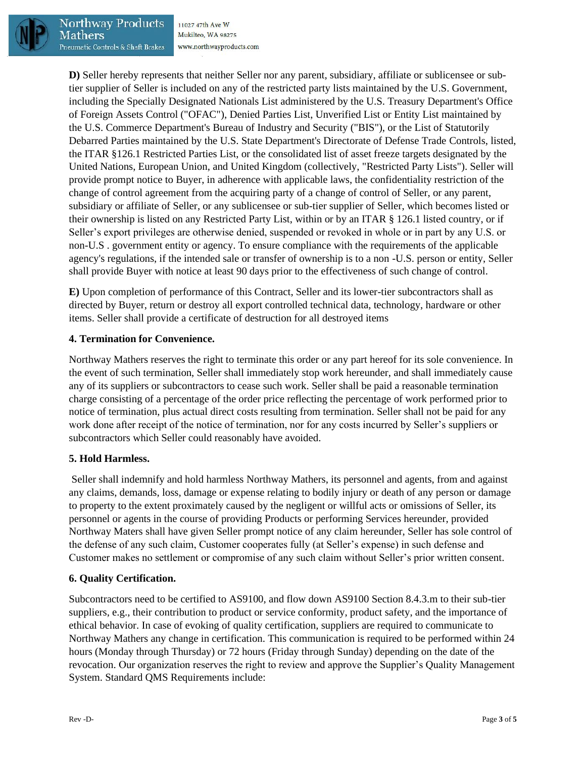

Mathers

Northwav Products 11027 47th Ave W Mukilteo, WA 98275 Pneumatic Controls & Shaft Brakes www.northwayproducts.com

**D)** Seller hereby represents that neither Seller nor any parent, subsidiary, affiliate or sublicensee or subtier supplier of Seller is included on any of the restricted party lists maintained by the U.S. Government, including the Specially Designated Nationals List administered by the U.S. Treasury Department's Office of Foreign Assets Control ("OFAC"), Denied Parties List, Unverified List or Entity List maintained by the U.S. Commerce Department's Bureau of Industry and Security ("BIS"), or the List of Statutorily Debarred Parties maintained by the U.S. State Department's Directorate of Defense Trade Controls, listed, the ITAR §126.1 Restricted Parties List, or the consolidated list of asset freeze targets designated by the United Nations, European Union, and United Kingdom (collectively, "Restricted Party Lists"). Seller will provide prompt notice to Buyer, in adherence with applicable laws, the confidentiality restriction of the change of control agreement from the acquiring party of a change of control of Seller, or any parent, subsidiary or affiliate of Seller, or any sublicensee or sub-tier supplier of Seller, which becomes listed or their ownership is listed on any Restricted Party List, within or by an ITAR § 126.1 listed country, or if Seller's export privileges are otherwise denied, suspended or revoked in whole or in part by any U.S. or non-U.S . government entity or agency. To ensure compliance with the requirements of the applicable agency's regulations, if the intended sale or transfer of ownership is to a non -U.S. person or entity, Seller shall provide Buyer with notice at least 90 days prior to the effectiveness of such change of control.

**E)** Upon completion of performance of this Contract, Seller and its lower-tier subcontractors shall as directed by Buyer, return or destroy all export controlled technical data, technology, hardware or other items. Seller shall provide a certificate of destruction for all destroyed items

# **4. Termination for Convenience.**

Northway Mathers reserves the right to terminate this order or any part hereof for its sole convenience. In the event of such termination, Seller shall immediately stop work hereunder, and shall immediately cause any of its suppliers or subcontractors to cease such work. Seller shall be paid a reasonable termination charge consisting of a percentage of the order price reflecting the percentage of work performed prior to notice of termination, plus actual direct costs resulting from termination. Seller shall not be paid for any work done after receipt of the notice of termination, nor for any costs incurred by Seller's suppliers or subcontractors which Seller could reasonably have avoided.

#### **5. Hold Harmless.**

Seller shall indemnify and hold harmless Northway Mathers, its personnel and agents, from and against any claims, demands, loss, damage or expense relating to bodily injury or death of any person or damage to property to the extent proximately caused by the negligent or willful acts or omissions of Seller, its personnel or agents in the course of providing Products or performing Services hereunder, provided Northway Maters shall have given Seller prompt notice of any claim hereunder, Seller has sole control of the defense of any such claim, Customer cooperates fully (at Seller's expense) in such defense and Customer makes no settlement or compromise of any such claim without Seller's prior written consent.

#### **6. Quality Certification.**

Subcontractors need to be certified to AS9100, and flow down AS9100 Section 8.4.3.m to their sub-tier suppliers, e.g., their contribution to product or service conformity, product safety, and the importance of ethical behavior. In case of evoking of quality certification, suppliers are required to communicate to Northway Mathers any change in certification. This communication is required to be performed within 24 hours (Monday through Thursday) or 72 hours (Friday through Sunday) depending on the date of the revocation. Our organization reserves the right to review and approve the Supplier's Quality Management System. Standard QMS Requirements include: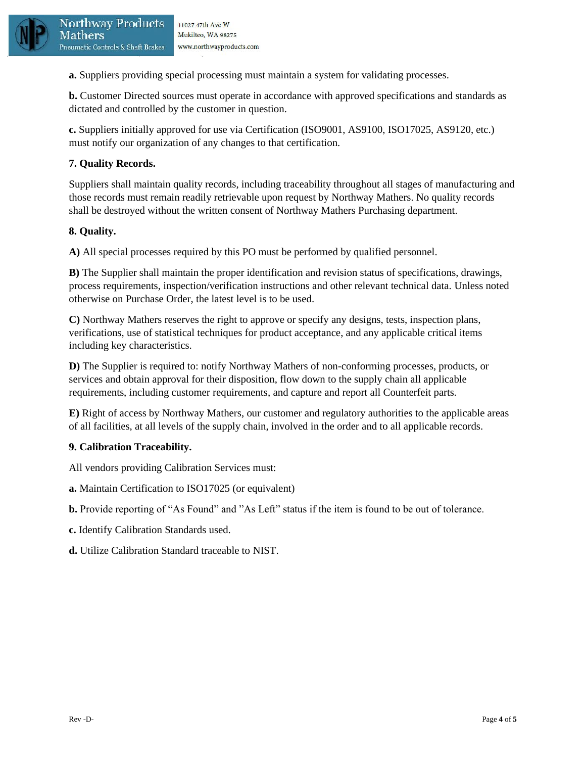

**a.** Suppliers providing special processing must maintain a system for validating processes.

**b.** Customer Directed sources must operate in accordance with approved specifications and standards as dictated and controlled by the customer in question.

**c.** Suppliers initially approved for use via Certification (ISO9001, AS9100, ISO17025, AS9120, etc.) must notify our organization of any changes to that certification.

## **7. Quality Records.**

Suppliers shall maintain quality records, including traceability throughout all stages of manufacturing and those records must remain readily retrievable upon request by Northway Mathers. No quality records shall be destroyed without the written consent of Northway Mathers Purchasing department.

#### **8. Quality.**

Mathers

**A)** All special processes required by this PO must be performed by qualified personnel.

**B)** The Supplier shall maintain the proper identification and revision status of specifications, drawings, process requirements, inspection/verification instructions and other relevant technical data. Unless noted otherwise on Purchase Order, the latest level is to be used.

**C)** Northway Mathers reserves the right to approve or specify any designs, tests, inspection plans, verifications, use of statistical techniques for product acceptance, and any applicable critical items including key characteristics.

**D)** The Supplier is required to: notify Northway Mathers of non-conforming processes, products, or services and obtain approval for their disposition, flow down to the supply chain all applicable requirements, including customer requirements, and capture and report all Counterfeit parts.

**E)** Right of access by Northway Mathers, our customer and regulatory authorities to the applicable areas of all facilities, at all levels of the supply chain, involved in the order and to all applicable records.

#### **9. Calibration Traceability.**

All vendors providing Calibration Services must:

- **a.** Maintain Certification to ISO17025 (or equivalent)
- **b.** Provide reporting of "As Found" and "As Left" status if the item is found to be out of tolerance.
- **c.** Identify Calibration Standards used.
- **d.** Utilize Calibration Standard traceable to NIST.